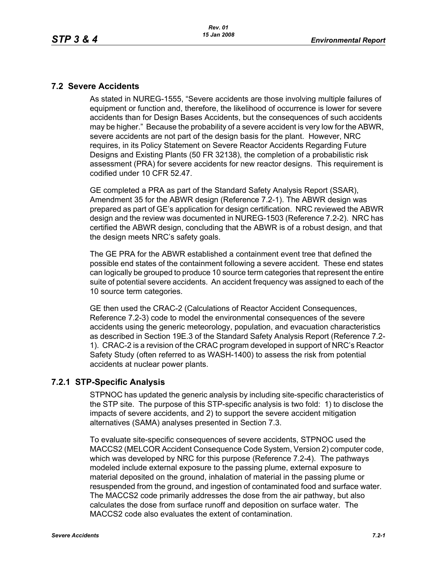#### **7.2 Severe Accidents**

As stated in NUREG-1555, "Severe accidents are those involving multiple failures of equipment or function and, therefore, the likelihood of occurrence is lower for severe accidents than for Design Bases Accidents, but the consequences of such accidents may be higher." Because the probability of a severe accident is very low for the ABWR, severe accidents are not part of the design basis for the plant. However, NRC requires, in its Policy Statement on Severe Reactor Accidents Regarding Future Designs and Existing Plants (50 FR 32138), the completion of a probabilistic risk assessment (PRA) for severe accidents for new reactor designs. This requirement is codified under 10 CFR 52.47.

GE completed a PRA as part of the Standard Safety Analysis Report (SSAR), Amendment 35 for the ABWR design (Reference 7.2-1). The ABWR design was prepared as part of GE's application for design certification. NRC reviewed the ABWR design and the review was documented in NUREG-1503 (Reference 7.2-2). NRC has certified the ABWR design, concluding that the ABWR is of a robust design, and that the design meets NRC's safety goals.

The GE PRA for the ABWR established a containment event tree that defined the possible end states of the containment following a severe accident. These end states can logically be grouped to produce 10 source term categories that represent the entire suite of potential severe accidents. An accident frequency was assigned to each of the 10 source term categories.

GE then used the CRAC-2 (Calculations of Reactor Accident Consequences, Reference 7.2-3) code to model the environmental consequences of the severe accidents using the generic meteorology, population, and evacuation characteristics as described in Section 19E.3 of the Standard Safety Analysis Report (Reference 7.2- 1). CRAC-2 is a revision of the CRAC program developed in support of NRC's Reactor Safety Study (often referred to as WASH-1400) to assess the risk from potential accidents at nuclear power plants.

## **7.2.1 STP-Specific Analysis**

STPNOC has updated the generic analysis by including site-specific characteristics of the STP site. The purpose of this STP-specific analysis is two fold: 1) to disclose the impacts of severe accidents, and 2) to support the severe accident mitigation alternatives (SAMA) analyses presented in Section 7.3.

To evaluate site-specific consequences of severe accidents, STPNOC used the MACCS2 (MELCOR Accident Consequence Code System, Version 2) computer code, which was developed by NRC for this purpose (Reference 7.2-4). The pathways modeled include external exposure to the passing plume, external exposure to material deposited on the ground, inhalation of material in the passing plume or resuspended from the ground, and ingestion of contaminated food and surface water. The MACCS2 code primarily addresses the dose from the air pathway, but also calculates the dose from surface runoff and deposition on surface water. The MACCS2 code also evaluates the extent of contamination.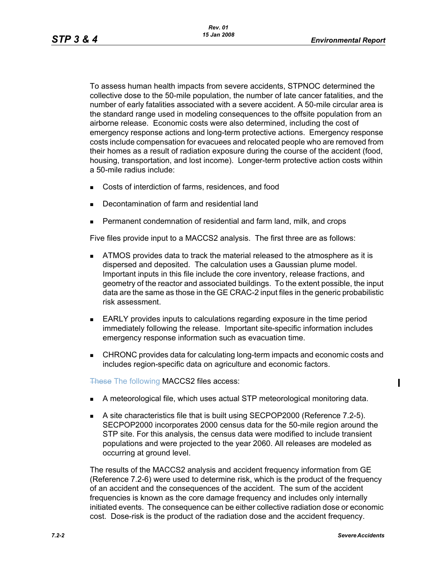To assess human health impacts from severe accidents, STPNOC determined the collective dose to the 50-mile population, the number of late cancer fatalities, and the number of early fatalities associated with a severe accident. A 50-mile circular area is the standard range used in modeling consequences to the offsite population from an airborne release. Economic costs were also determined, including the cost of emergency response actions and long-term protective actions. Emergency response costs include compensation for evacuees and relocated people who are removed from their homes as a result of radiation exposure during the course of the accident (food, housing, transportation, and lost income). Longer-term protective action costs within a 50-mile radius include:

- Costs of interdiction of farms, residences, and food
- Decontamination of farm and residential land
- Permanent condemnation of residential and farm land, milk, and crops

Five files provide input to a MACCS2 analysis. The first three are as follows:

- ATMOS provides data to track the material released to the atmosphere as it is dispersed and deposited. The calculation uses a Gaussian plume model. Important inputs in this file include the core inventory, release fractions, and geometry of the reactor and associated buildings. To the extent possible, the input data are the same as those in the GE CRAC-2 input files in the generic probabilistic risk assessment.
- **EARLY** provides inputs to calculations regarding exposure in the time period immediately following the release. Important site-specific information includes emergency response information such as evacuation time.
- **EXECUARCI** CHRONC provides data for calculating long-term impacts and economic costs and includes region-specific data on agriculture and economic factors.

These The following MACCS2 files access:

- A meteorological file, which uses actual STP meteorological monitoring data.
- A site characteristics file that is built using SECPOP2000 (Reference 7.2-5). SECPOP2000 incorporates 2000 census data for the 50-mile region around the STP site. For this analysis, the census data were modified to include transient populations and were projected to the year 2060. All releases are modeled as occurring at ground level.

The results of the MACCS2 analysis and accident frequency information from GE (Reference 7.2-6) were used to determine risk, which is the product of the frequency of an accident and the consequences of the accident. The sum of the accident frequencies is known as the core damage frequency and includes only internally initiated events. The consequence can be either collective radiation dose or economic cost. Dose-risk is the product of the radiation dose and the accident frequency.

Π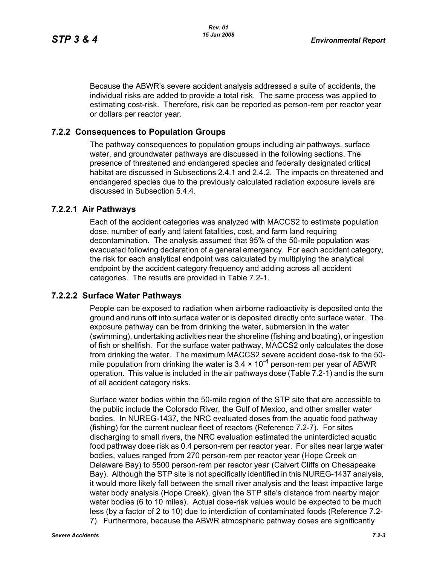Because the ABWR's severe accident analysis addressed a suite of accidents, the individual risks are added to provide a total risk. The same process was applied to estimating cost-risk. Therefore, risk can be reported as person-rem per reactor year or dollars per reactor year.

### **7.2.2 Consequences to Population Groups**

The pathway consequences to population groups including air pathways, surface water, and groundwater pathways are discussed in the following sections. The presence of threatened and endangered species and federally designated critical habitat are discussed in Subsections 2.4.1 and 2.4.2. The impacts on threatened and endangered species due to the previously calculated radiation exposure levels are discussed in Subsection 5.4.4.

### **7.2.2.1 Air Pathways**

Each of the accident categories was analyzed with MACCS2 to estimate population dose, number of early and latent fatalities, cost, and farm land requiring decontamination. The analysis assumed that 95% of the 50-mile population was evacuated following declaration of a general emergency. For each accident category, the risk for each analytical endpoint was calculated by multiplying the analytical endpoint by the accident category frequency and adding across all accident categories. The results are provided in Table 7.2-1.

#### **7.2.2.2 Surface Water Pathways**

People can be exposed to radiation when airborne radioactivity is deposited onto the ground and runs off into surface water or is deposited directly onto surface water. The exposure pathway can be from drinking the water, submersion in the water (swimming), undertaking activities near the shoreline (fishing and boating), or ingestion of fish or shellfish. For the surface water pathway, MACCS2 only calculates the dose from drinking the water. The maximum MACCS2 severe accident dose-risk to the 50 mile population from drinking the water is  $3.4 \times 10^{-4}$  person-rem per year of ABWR operation. This value is included in the air pathways dose (Table 7.2-1) and is the sum of all accident category risks.

Surface water bodies within the 50-mile region of the STP site that are accessible to the public include the Colorado River, the Gulf of Mexico, and other smaller water bodies. In NUREG-1437, the NRC evaluated doses from the aquatic food pathway (fishing) for the current nuclear fleet of reactors (Reference 7.2-7). For sites discharging to small rivers, the NRC evaluation estimated the uninterdicted aquatic food pathway dose risk as 0.4 person-rem per reactor year. For sites near large water bodies, values ranged from 270 person-rem per reactor year (Hope Creek on Delaware Bay) to 5500 person-rem per reactor year (Calvert Cliffs on Chesapeake Bay). Although the STP site is not specifically identified in this NUREG-1437 analysis, it would more likely fall between the small river analysis and the least impactive large water body analysis (Hope Creek), given the STP site's distance from nearby major water bodies (6 to 10 miles). Actual dose-risk values would be expected to be much less (by a factor of 2 to 10) due to interdiction of contaminated foods (Reference 7.2- 7). Furthermore, because the ABWR atmospheric pathway doses are significantly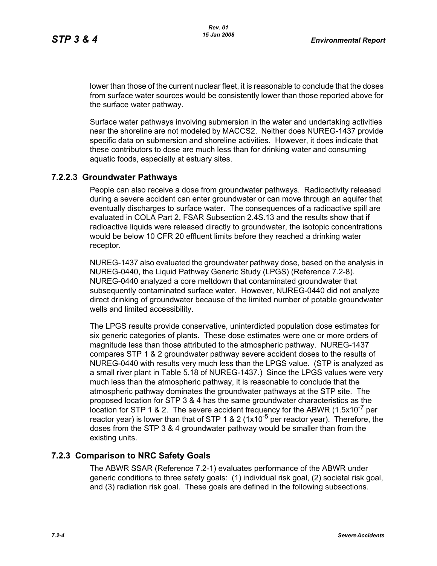lower than those of the current nuclear fleet, it is reasonable to conclude that the doses from surface water sources would be consistently lower than those reported above for the surface water pathway.

Surface water pathways involving submersion in the water and undertaking activities near the shoreline are not modeled by MACCS2. Neither does NUREG-1437 provide specific data on submersion and shoreline activities. However, it does indicate that these contributors to dose are much less than for drinking water and consuming aquatic foods, especially at estuary sites.

# **7.2.2.3 Groundwater Pathways**

People can also receive a dose from groundwater pathways. Radioactivity released during a severe accident can enter groundwater or can move through an aquifer that eventually discharges to surface water. The consequences of a radioactive spill are evaluated in COLA Part 2, FSAR Subsection 2.4S.13 and the results show that if radioactive liquids were released directly to groundwater, the isotopic concentrations would be below 10 CFR 20 effluent limits before they reached a drinking water receptor.

NUREG-1437 also evaluated the groundwater pathway dose, based on the analysis in NUREG-0440, the Liquid Pathway Generic Study (LPGS) (Reference 7.2-8). NUREG-0440 analyzed a core meltdown that contaminated groundwater that subsequently contaminated surface water. However, NUREG-0440 did not analyze direct drinking of groundwater because of the limited number of potable groundwater wells and limited accessibility.

The LPGS results provide conservative, uninterdicted population dose estimates for six generic categories of plants. These dose estimates were one or more orders of magnitude less than those attributed to the atmospheric pathway. NUREG-1437 compares STP 1 & 2 groundwater pathway severe accident doses to the results of NUREG-0440 with results very much less than the LPGS value. (STP is analyzed as a small river plant in Table 5.18 of NUREG-1437.) Since the LPGS values were very much less than the atmospheric pathway, it is reasonable to conclude that the atmospheric pathway dominates the groundwater pathways at the STP site. The proposed location for STP 3 & 4 has the same groundwater characteristics as the location for STP 1 & 2. The severe accident frequency for the ABWR  $(1.5x10^{-7}$  per reactor year) is lower than that of STP 1 & 2 (1x10<sup>-5</sup> per reactor year). Therefore, the doses from the STP 3 & 4 groundwater pathway would be smaller than from the existing units.

## **7.2.3 Comparison to NRC Safety Goals**

The ABWR SSAR (Reference 7.2-1) evaluates performance of the ABWR under generic conditions to three safety goals: (1) individual risk goal, (2) societal risk goal, and (3) radiation risk goal. These goals are defined in the following subsections.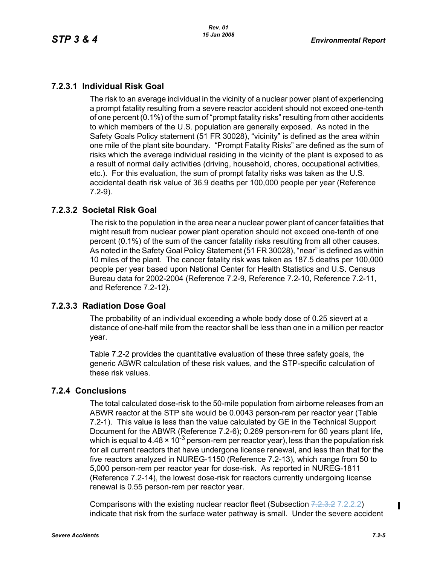# **7.2.3.1 Individual Risk Goal**

The risk to an average individual in the vicinity of a nuclear power plant of experiencing a prompt fatality resulting from a severe reactor accident should not exceed one-tenth of one percent (0.1%) of the sum of "prompt fatality risks" resulting from other accidents to which members of the U.S. population are generally exposed. As noted in the Safety Goals Policy statement (51 FR 30028), "vicinity" is defined as the area within one mile of the plant site boundary. "Prompt Fatality Risks" are defined as the sum of risks which the average individual residing in the vicinity of the plant is exposed to as a result of normal daily activities (driving, household, chores, occupational activities, etc.). For this evaluation, the sum of prompt fatality risks was taken as the U.S. accidental death risk value of 36.9 deaths per 100,000 people per year (Reference 7.2-9).

# **7.2.3.2 Societal Risk Goal**

The risk to the population in the area near a nuclear power plant of cancer fatalities that might result from nuclear power plant operation should not exceed one-tenth of one percent (0.1%) of the sum of the cancer fatality risks resulting from all other causes. As noted in the Safety Goal Policy Statement (51 FR 30028), "near" is defined as within 10 miles of the plant. The cancer fatality risk was taken as 187.5 deaths per 100,000 people per year based upon National Center for Health Statistics and U.S. Census Bureau data for 2002-2004 (Reference 7.2-9, Reference 7.2-10, Reference 7.2-11, and Reference 7.2-12).

## **7.2.3.3 Radiation Dose Goal**

The probability of an individual exceeding a whole body dose of 0.25 sievert at a distance of one-half mile from the reactor shall be less than one in a million per reactor year.

Table 7.2-2 provides the quantitative evaluation of these three safety goals, the generic ABWR calculation of these risk values, and the STP-specific calculation of these risk values.

## **7.2.4 Conclusions**

The total calculated dose-risk to the 50-mile population from airborne releases from an ABWR reactor at the STP site would be 0.0043 person-rem per reactor year (Table 7.2-1). This value is less than the value calculated by GE in the Technical Support Document for the ABWR (Reference 7.2-6); 0.269 person-rem for 60 years plant life, which is equal to 4.48  $\times$  10<sup>-3</sup> person-rem per reactor year), less than the population risk for all current reactors that have undergone license renewal, and less than that for the five reactors analyzed in NUREG-1150 (Reference 7.2-13), which range from 50 to 5,000 person-rem per reactor year for dose-risk. As reported in NUREG-1811 (Reference 7.2-14), the lowest dose-risk for reactors currently undergoing license renewal is 0.55 person-rem per reactor year.

Comparisons with the existing nuclear reactor fleet (Subsection 7.2.3.2 7.2.2.2) indicate that risk from the surface water pathway is small. Under the severe accident

Π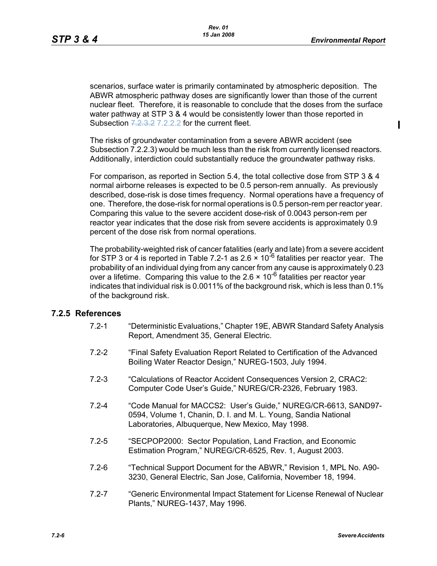$\mathbf I$ 

scenarios, surface water is primarily contaminated by atmospheric deposition. The ABWR atmospheric pathway doses are significantly lower than those of the current nuclear fleet. Therefore, it is reasonable to conclude that the doses from the surface water pathway at STP 3 & 4 would be consistently lower than those reported in Subsection 7.2.3.2 7.2.2.2 for the current fleet.

The risks of groundwater contamination from a severe ABWR accident (see Subsection 7.2.2.3) would be much less than the risk from currently licensed reactors. Additionally, interdiction could substantially reduce the groundwater pathway risks.

For comparison, as reported in Section 5.4, the total collective dose from STP 3 & 4 normal airborne releases is expected to be 0.5 person-rem annually. As previously described, dose-risk is dose times frequency. Normal operations have a frequency of one. Therefore, the dose-risk for normal operations is 0.5 person-rem per reactor year. Comparing this value to the severe accident dose-risk of 0.0043 person-rem per reactor year indicates that the dose risk from severe accidents is approximately 0.9 percent of the dose risk from normal operations.

The probability-weighted risk of cancer fatalities (early and late) from a severe accident for STP 3 or 4 is reported in Table 7.2-1 as 2.6  $\times$  10<sup>-6</sup> fatalities per reactor year. The probability of an individual dying from any cancer from any cause is approximately 0.23 over a lifetime. Comparing this value to the 2.6  $\times$  10<sup>-6</sup> fatalities per reactor year indicates that individual risk is 0.0011% of the background risk, which is less than 0.1% of the background risk.

## **7.2.5 References**

- 7.2-1 "Deterministic Evaluations," Chapter 19E, ABWR Standard Safety Analysis Report, Amendment 35, General Electric.
- 7.2-2 "Final Safety Evaluation Report Related to Certification of the Advanced Boiling Water Reactor Design," NUREG-1503, July 1994.
- 7.2-3 "Calculations of Reactor Accident Consequences Version 2, CRAC2: Computer Code User's Guide," NUREG/CR-2326, February 1983.
- 7.2-4 "Code Manual for MACCS2: User's Guide," NUREG/CR-6613, SAND97- 0594, Volume 1, Chanin, D. I. and M. L. Young, Sandia National Laboratories, Albuquerque, New Mexico, May 1998.
- 7.2-5 "SECPOP2000: Sector Population, Land Fraction, and Economic Estimation Program," NUREG/CR-6525, Rev. 1, August 2003.
- 7.2-6 "Technical Support Document for the ABWR," Revision 1, MPL No. A90- 3230, General Electric, San Jose, California, November 18, 1994.
- 7.2-7 "Generic Environmental Impact Statement for License Renewal of Nuclear Plants," NUREG-1437, May 1996.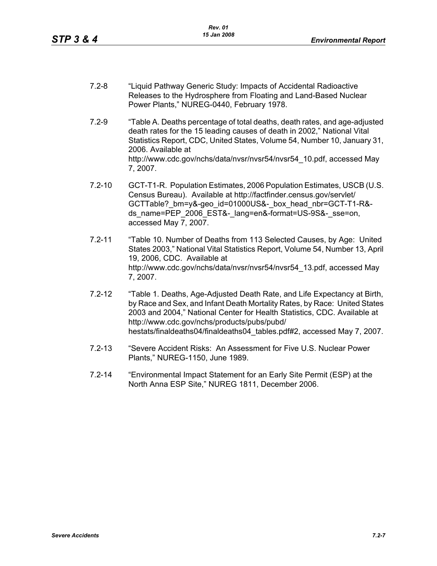- 7.2-8 "Liquid Pathway Generic Study: Impacts of Accidental Radioactive Releases to the Hydrosphere from Floating and Land-Based Nuclear Power Plants," NUREG-0440, February 1978.
- 7.2-9 "Table A. Deaths percentage of total deaths, death rates, and age-adjusted death rates for the 15 leading causes of death in 2002," National Vital Statistics Report, CDC, United States, Volume 54, Number 10, January 31, 2006. Available at http://www.cdc.gov/nchs/data/nvsr/nvsr54/nvsr54\_10.pdf, accessed May 7, 2007.
- 7.2-10 GCT-T1-R. Population Estimates, 2006 Population Estimates, USCB (U.S. Census Bureau). Available at http://factfinder.census.gov/servlet/ GCTTable? bm=y&-geo\_id=01000US&-\_box\_head\_nbr=GCT-T1-R&ds\_name=PEP\_2006\_EST&-\_lang=en&-format=US-9S&-\_sse=on, accessed May 7, 2007.
- 7.2-11 "Table 10. Number of Deaths from 113 Selected Causes, by Age: United States 2003," National Vital Statistics Report, Volume 54, Number 13, April 19, 2006, CDC. Available at http://www.cdc.gov/nchs/data/nvsr/nvsr54/nvsr54\_13.pdf, accessed May 7, 2007.
- 7.2-12 "Table 1. Deaths, Age-Adjusted Death Rate, and Life Expectancy at Birth, by Race and Sex, and Infant Death Mortality Rates, by Race: United States 2003 and 2004," National Center for Health Statistics, CDC. Available at http://www.cdc.gov/nchs/products/pubs/pubd/ hestats/finaldeaths04/finaldeaths04\_tables.pdf#2, accessed May 7, 2007.
- 7.2-13 "Severe Accident Risks: An Assessment for Five U.S. Nuclear Power Plants," NUREG-1150, June 1989.
- 7.2-14 "Environmental Impact Statement for an Early Site Permit (ESP) at the North Anna ESP Site," NUREG 1811, December 2006.